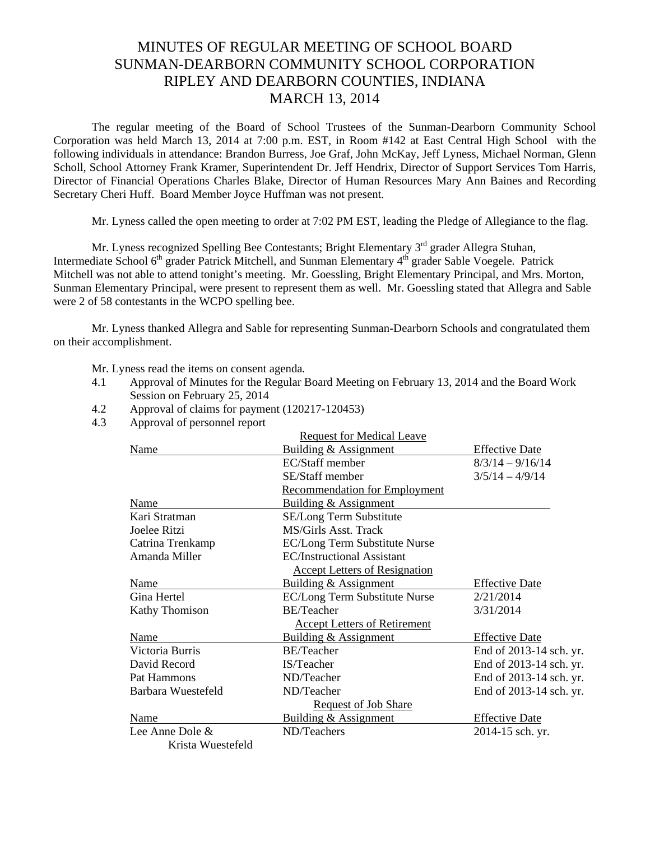## MINUTES OF REGULAR MEETING OF SCHOOL BOARD SUNMAN-DEARBORN COMMUNITY SCHOOL CORPORATION RIPLEY AND DEARBORN COUNTIES, INDIANA MARCH 13, 2014

The regular meeting of the Board of School Trustees of the Sunman-Dearborn Community School Corporation was held March 13, 2014 at 7:00 p.m. EST, in Room #142 at East Central High School with the following individuals in attendance: Brandon Burress, Joe Graf, John McKay, Jeff Lyness, Michael Norman, Glenn Scholl, School Attorney Frank Kramer, Superintendent Dr. Jeff Hendrix, Director of Support Services Tom Harris, Director of Financial Operations Charles Blake, Director of Human Resources Mary Ann Baines and Recording Secretary Cheri Huff. Board Member Joyce Huffman was not present.

Mr. Lyness called the open meeting to order at 7:02 PM EST, leading the Pledge of Allegiance to the flag.

Mr. Lyness recognized Spelling Bee Contestants; Bright Elementary 3<sup>rd</sup> grader Allegra Stuhan, Intermediate School 6<sup>th</sup> grader Patrick Mitchell, and Sunman Elementary 4<sup>th</sup> grader Sable Voegele. Patrick Mitchell was not able to attend tonight's meeting. Mr. Goessling, Bright Elementary Principal, and Mrs. Morton, Sunman Elementary Principal, were present to represent them as well. Mr. Goessling stated that Allegra and Sable were 2 of 58 contestants in the WCPO spelling bee.

 Mr. Lyness thanked Allegra and Sable for representing Sunman-Dearborn Schools and congratulated them on their accomplishment.

Mr. Lyness read the items on consent agenda*.* 

- 4.1 Approval of Minutes for the Regular Board Meeting on February 13, 2014 and the Board Work Session on February 25, 2014
- 4.2 Approval of claims for payment (120217-120453)
- 4.3 Approval of personnel report

|                    | <b>Request for Medical Leave</b>     |                         |
|--------------------|--------------------------------------|-------------------------|
| Name               | Building & Assignment                | <b>Effective Date</b>   |
|                    | EC/Staff member                      | $8/3/14 - 9/16/14$      |
|                    | SE/Staff member                      | $3/5/14 - 4/9/14$       |
|                    | <b>Recommendation for Employment</b> |                         |
| Name               | Building & Assignment                |                         |
| Kari Stratman      | SE/Long Term Substitute              |                         |
| Joelee Ritzi       | MS/Girls Asst. Track                 |                         |
| Catrina Trenkamp   | EC/Long Term Substitute Nurse        |                         |
| Amanda Miller      | <b>EC/Instructional Assistant</b>    |                         |
|                    | <b>Accept Letters of Resignation</b> |                         |
| Name               | Building & Assignment                | <b>Effective Date</b>   |
| Gina Hertel        | EC/Long Term Substitute Nurse        | 2/21/2014               |
| Kathy Thomison     | <b>BE/Teacher</b>                    | 3/31/2014               |
|                    | <b>Accept Letters of Retirement</b>  |                         |
| Name               | Building & Assignment                | <b>Effective Date</b>   |
| Victoria Burris    | <b>BE/Teacher</b>                    | End of 2013-14 sch. yr. |
| David Record       | IS/Teacher                           | End of 2013-14 sch. yr. |
| Pat Hammons        | ND/Teacher                           | End of 2013-14 sch. yr. |
| Barbara Wuestefeld | ND/Teacher                           | End of 2013-14 sch. yr. |
|                    | <b>Request of Job Share</b>          |                         |
| Name               | <b>Building &amp; Assignment</b>     | <b>Effective Date</b>   |
| Lee Anne Dole &    | ND/Teachers                          | 2014-15 sch. yr.        |
| Krista Wuestefeld  |                                      |                         |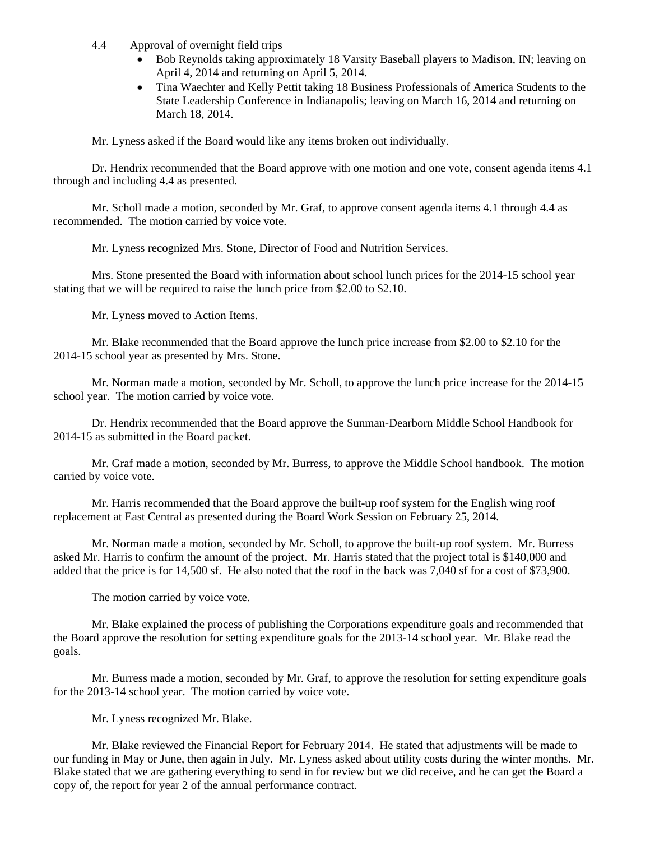- 4.4 Approval of overnight field trips
	- Bob Reynolds taking approximately 18 Varsity Baseball players to Madison, IN; leaving on April 4, 2014 and returning on April 5, 2014.
	- Tina Waechter and Kelly Pettit taking 18 Business Professionals of America Students to the State Leadership Conference in Indianapolis; leaving on March 16, 2014 and returning on March 18, 2014.

Mr. Lyness asked if the Board would like any items broken out individually.

Dr. Hendrix recommended that the Board approve with one motion and one vote, consent agenda items 4.1 through and including 4.4 as presented.

Mr. Scholl made a motion, seconded by Mr. Graf, to approve consent agenda items 4.1 through 4.4 as recommended. The motion carried by voice vote.

Mr. Lyness recognized Mrs. Stone, Director of Food and Nutrition Services.

 Mrs. Stone presented the Board with information about school lunch prices for the 2014-15 school year stating that we will be required to raise the lunch price from \$2.00 to \$2.10.

Mr. Lyness moved to Action Items.

Mr. Blake recommended that the Board approve the lunch price increase from \$2.00 to \$2.10 for the 2014-15 school year as presented by Mrs. Stone.

Mr. Norman made a motion, seconded by Mr. Scholl, to approve the lunch price increase for the 2014-15 school year. The motion carried by voice vote.

Dr. Hendrix recommended that the Board approve the Sunman-Dearborn Middle School Handbook for 2014-15 as submitted in the Board packet.

Mr. Graf made a motion, seconded by Mr. Burress, to approve the Middle School handbook. The motion carried by voice vote.

Mr. Harris recommended that the Board approve the built-up roof system for the English wing roof replacement at East Central as presented during the Board Work Session on February 25, 2014.

Mr. Norman made a motion, seconded by Mr. Scholl, to approve the built-up roof system. Mr. Burress asked Mr. Harris to confirm the amount of the project. Mr. Harris stated that the project total is \$140,000 and added that the price is for 14,500 sf. He also noted that the roof in the back was 7,040 sf for a cost of \$73,900.

The motion carried by voice vote.

Mr. Blake explained the process of publishing the Corporations expenditure goals and recommended that the Board approve the resolution for setting expenditure goals for the 2013-14 school year. Mr. Blake read the goals.

Mr. Burress made a motion, seconded by Mr. Graf, to approve the resolution for setting expenditure goals for the 2013-14 school year. The motion carried by voice vote.

Mr. Lyness recognized Mr. Blake.

Mr. Blake reviewed the Financial Report for February 2014. He stated that adjustments will be made to our funding in May or June, then again in July. Mr. Lyness asked about utility costs during the winter months. Mr. Blake stated that we are gathering everything to send in for review but we did receive, and he can get the Board a copy of, the report for year 2 of the annual performance contract.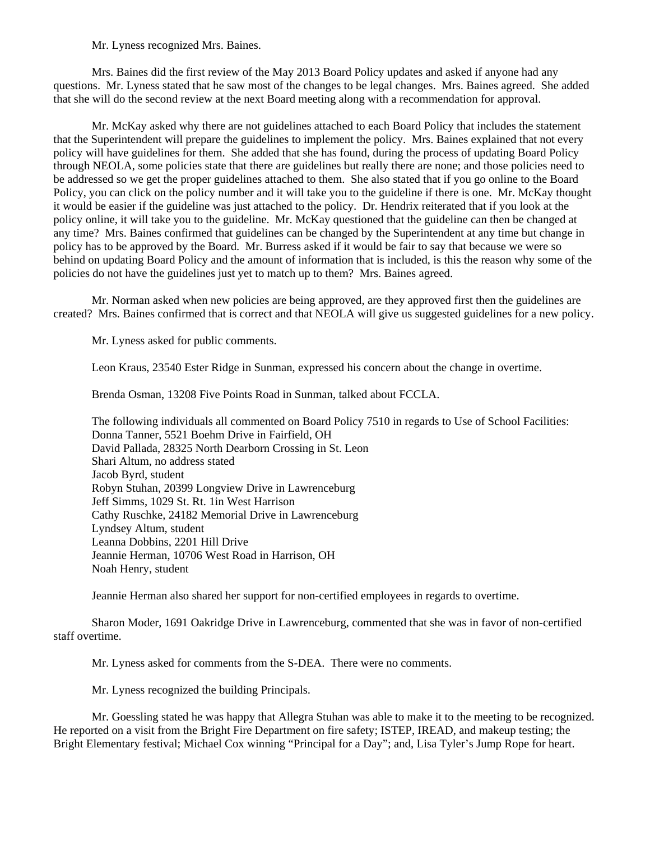Mr. Lyness recognized Mrs. Baines.

 Mrs. Baines did the first review of the May 2013 Board Policy updates and asked if anyone had any questions. Mr. Lyness stated that he saw most of the changes to be legal changes. Mrs. Baines agreed. She added that she will do the second review at the next Board meeting along with a recommendation for approval.

 Mr. McKay asked why there are not guidelines attached to each Board Policy that includes the statement that the Superintendent will prepare the guidelines to implement the policy. Mrs. Baines explained that not every policy will have guidelines for them. She added that she has found, during the process of updating Board Policy through NEOLA, some policies state that there are guidelines but really there are none; and those policies need to be addressed so we get the proper guidelines attached to them. She also stated that if you go online to the Board Policy, you can click on the policy number and it will take you to the guideline if there is one. Mr. McKay thought it would be easier if the guideline was just attached to the policy. Dr. Hendrix reiterated that if you look at the policy online, it will take you to the guideline. Mr. McKay questioned that the guideline can then be changed at any time? Mrs. Baines confirmed that guidelines can be changed by the Superintendent at any time but change in policy has to be approved by the Board. Mr. Burress asked if it would be fair to say that because we were so behind on updating Board Policy and the amount of information that is included, is this the reason why some of the policies do not have the guidelines just yet to match up to them? Mrs. Baines agreed.

 Mr. Norman asked when new policies are being approved, are they approved first then the guidelines are created? Mrs. Baines confirmed that is correct and that NEOLA will give us suggested guidelines for a new policy.

Mr. Lyness asked for public comments.

Leon Kraus, 23540 Ester Ridge in Sunman, expressed his concern about the change in overtime.

Brenda Osman, 13208 Five Points Road in Sunman, talked about FCCLA.

 The following individuals all commented on Board Policy 7510 in regards to Use of School Facilities: Donna Tanner, 5521 Boehm Drive in Fairfield, OH David Pallada, 28325 North Dearborn Crossing in St. Leon Shari Altum, no address stated Jacob Byrd, student Robyn Stuhan, 20399 Longview Drive in Lawrenceburg Jeff Simms, 1029 St. Rt. 1in West Harrison Cathy Ruschke, 24182 Memorial Drive in Lawrenceburg Lyndsey Altum, student Leanna Dobbins, 2201 Hill Drive Jeannie Herman, 10706 West Road in Harrison, OH Noah Henry, student

Jeannie Herman also shared her support for non-certified employees in regards to overtime.

Sharon Moder, 1691 Oakridge Drive in Lawrenceburg, commented that she was in favor of non-certified staff overtime.

Mr. Lyness asked for comments from the S-DEA. There were no comments.

Mr. Lyness recognized the building Principals.

Mr. Goessling stated he was happy that Allegra Stuhan was able to make it to the meeting to be recognized. He reported on a visit from the Bright Fire Department on fire safety; ISTEP, IREAD, and makeup testing; the Bright Elementary festival; Michael Cox winning "Principal for a Day"; and, Lisa Tyler's Jump Rope for heart.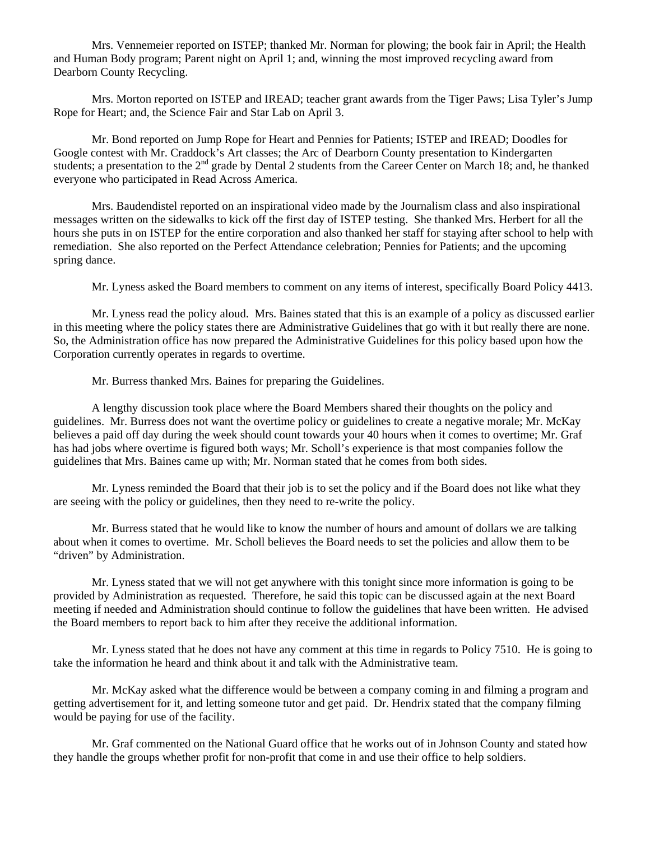Mrs. Vennemeier reported on ISTEP; thanked Mr. Norman for plowing; the book fair in April; the Health and Human Body program; Parent night on April 1; and, winning the most improved recycling award from Dearborn County Recycling.

Mrs. Morton reported on ISTEP and IREAD; teacher grant awards from the Tiger Paws; Lisa Tyler's Jump Rope for Heart; and, the Science Fair and Star Lab on April 3.

Mr. Bond reported on Jump Rope for Heart and Pennies for Patients; ISTEP and IREAD; Doodles for Google contest with Mr. Craddock's Art classes; the Arc of Dearborn County presentation to Kindergarten students; a presentation to the  $2<sup>nd</sup>$  grade by Dental 2 students from the Career Center on March 18; and, he thanked everyone who participated in Read Across America.

Mrs. Baudendistel reported on an inspirational video made by the Journalism class and also inspirational messages written on the sidewalks to kick off the first day of ISTEP testing. She thanked Mrs. Herbert for all the hours she puts in on ISTEP for the entire corporation and also thanked her staff for staying after school to help with remediation. She also reported on the Perfect Attendance celebration; Pennies for Patients; and the upcoming spring dance.

Mr. Lyness asked the Board members to comment on any items of interest, specifically Board Policy 4413.

 Mr. Lyness read the policy aloud. Mrs. Baines stated that this is an example of a policy as discussed earlier in this meeting where the policy states there are Administrative Guidelines that go with it but really there are none. So, the Administration office has now prepared the Administrative Guidelines for this policy based upon how the Corporation currently operates in regards to overtime.

Mr. Burress thanked Mrs. Baines for preparing the Guidelines.

 A lengthy discussion took place where the Board Members shared their thoughts on the policy and guidelines. Mr. Burress does not want the overtime policy or guidelines to create a negative morale; Mr. McKay believes a paid off day during the week should count towards your 40 hours when it comes to overtime; Mr. Graf has had jobs where overtime is figured both ways; Mr. Scholl's experience is that most companies follow the guidelines that Mrs. Baines came up with; Mr. Norman stated that he comes from both sides.

 Mr. Lyness reminded the Board that their job is to set the policy and if the Board does not like what they are seeing with the policy or guidelines, then they need to re-write the policy.

 Mr. Burress stated that he would like to know the number of hours and amount of dollars we are talking about when it comes to overtime. Mr. Scholl believes the Board needs to set the policies and allow them to be "driven" by Administration.

 Mr. Lyness stated that we will not get anywhere with this tonight since more information is going to be provided by Administration as requested. Therefore, he said this topic can be discussed again at the next Board meeting if needed and Administration should continue to follow the guidelines that have been written. He advised the Board members to report back to him after they receive the additional information.

 Mr. Lyness stated that he does not have any comment at this time in regards to Policy 7510. He is going to take the information he heard and think about it and talk with the Administrative team.

 Mr. McKay asked what the difference would be between a company coming in and filming a program and getting advertisement for it, and letting someone tutor and get paid. Dr. Hendrix stated that the company filming would be paying for use of the facility.

 Mr. Graf commented on the National Guard office that he works out of in Johnson County and stated how they handle the groups whether profit for non-profit that come in and use their office to help soldiers.